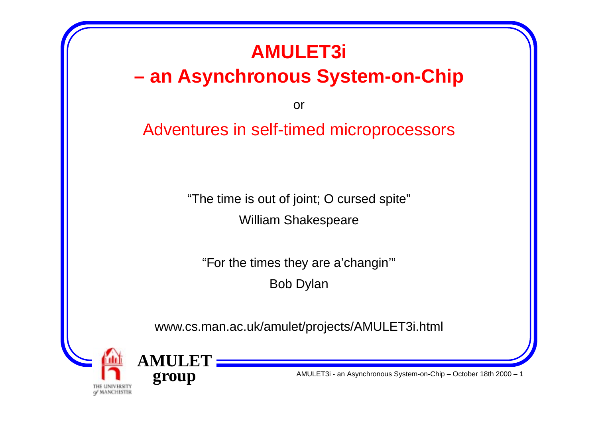## **AMULET3i**

### **– an Asynchronous System-on-Chip**

or

#### Adventures in self-timed microprocessors

"The time is out of joint; O cursed spite"

William Shakespeare

"For the times they are a'changin'"

Bob Dylan

www.cs.man.ac.uk/amulet/projects/AMULET3i.html



**AMULETgroup**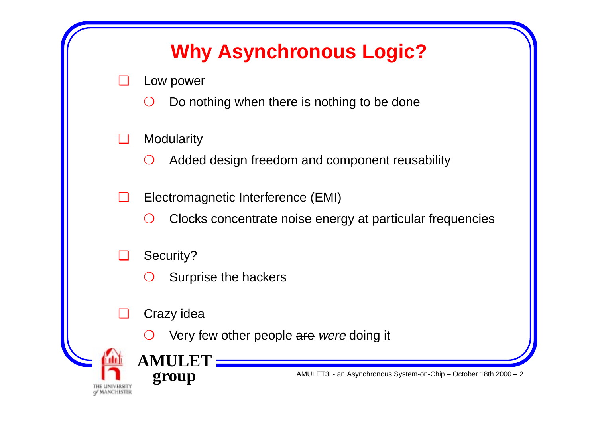## **Why Asynchronous Logic?**

- ❑ Low power
	- $\bigcirc$ Do nothing when there is nothing to be done
- ❑**Modularity** 
	- $\bigcirc$ Added design freedom and component reusability
- $\Box$  Electromagnetic Interference (EMI)
	- $\bigcap$ Clocks concentrate noise energy at particular frequencies
- ❑ Security?
	- $\bigodot$ Surprise the hackers
- ❑Crazy idea

**AMULET**

**group**

 $\left( \right)$ Very few other people are were doing it

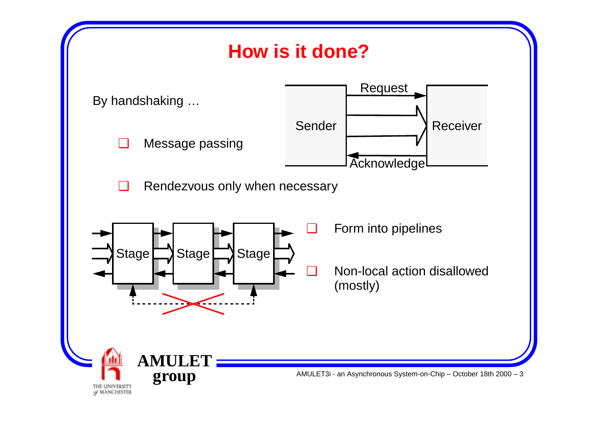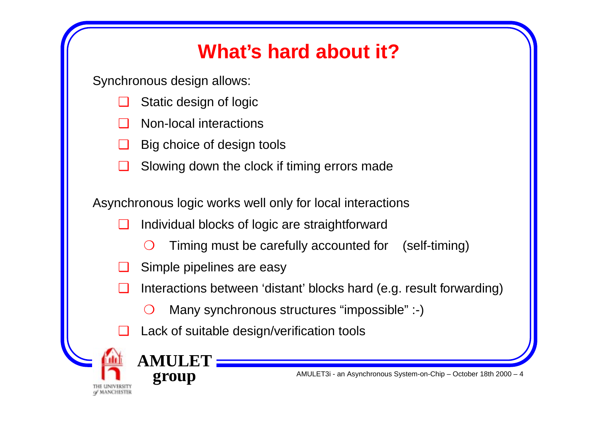## **What's hard about it?**

Synchronous design allows:

- ❑Static design of logic
- ❑Non-local interactions
- ❑Big choice of design tools
- ❑Slowing down the clock if timing errors made

Asynchronous logic works well only for local interactions

- ❑ Individual blocks of logic are straightforward
	- $\bigodot$ Timing must be carefully accounted for (self-timing)
- ❑Simple pipelines are easy

**AMULE** 

**group**

- ❑ Interactions between 'distant' blocks hard (e.g. result forwarding)
	- $\bigcirc$ Many synchronous structures "impossible" :-)
- ❑Lack of suitable design/verification tools

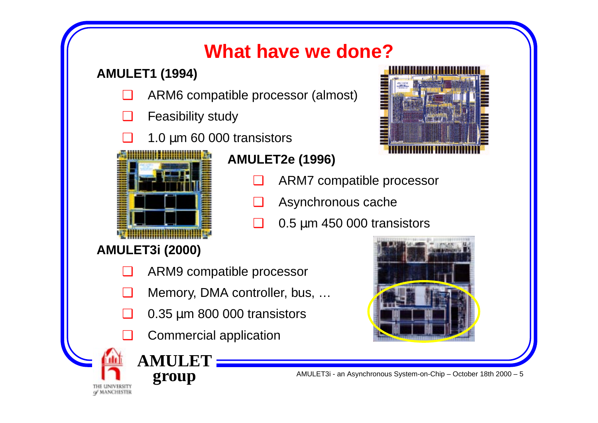### **What have we done?**

#### **AMULET1 (1994)**

- ❑ARM6 compatible processor (almost)
- ❑Feasibility study
- ❑ $\Box$  1.0 µm 60 000 transistors



**AMULET2e (1996)**

- $\Box$ ARM7 compatible processor
- ❑Asynchronous cache
- ❑ $\Box$  0.5 µm 450 000 transistors

#### **AMULET3i (2000)**

- ❑ARM9 compatible processor
- ❑Memory, DMA controller, bus, …
- ❑ $\Box$  0.35 µm 800 000 transistors
- ❑Commercial application

**AMULET**

**group**

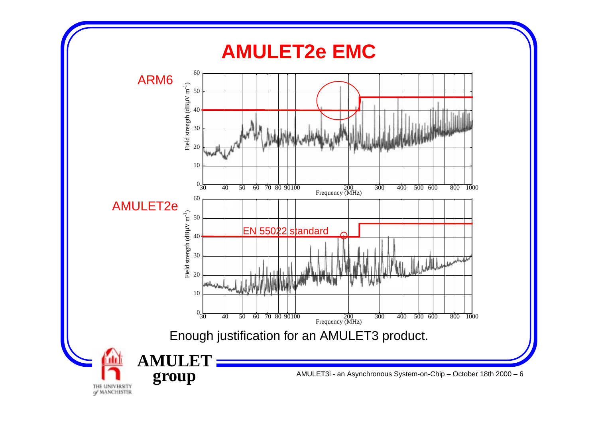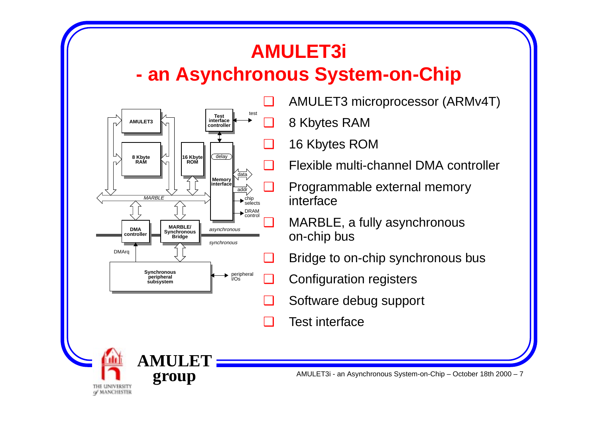#### **AMULET3i - an Asynchronous System-on-Chip**



**AMULET**

THE UNIVERSITY of MANCHESTER **group**

AMULET3 microprocessor (ARMv4T)

8 Kbytes RAM

16 Kbytes ROM

Flexible multi-channel DMA controller

 Programmable external memory interface

 MARBLE, a fully asynchronous on-chip bus

Bridge to on-chip synchronous bus

Configuration registers

- ❑Software debug support
- ❑Test interface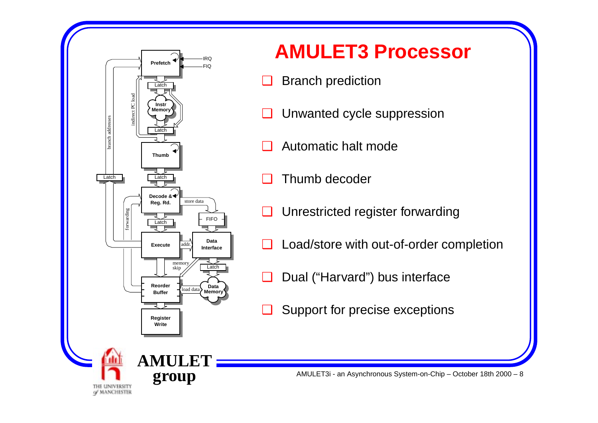

#### **AMULET3 Processor**

- ❑Branch prediction
- ❑Unwanted cycle suppression
- ❑Automatic halt mode
- ❑Thumb decoder
- ❑Unrestricted register forwarding
- ❑Load/store with out-of-order completion
- ❑Dual ("Harvard") bus interface
- ❑Support for precise exceptions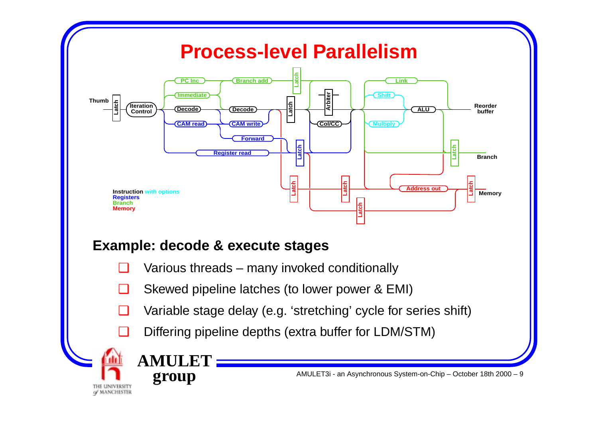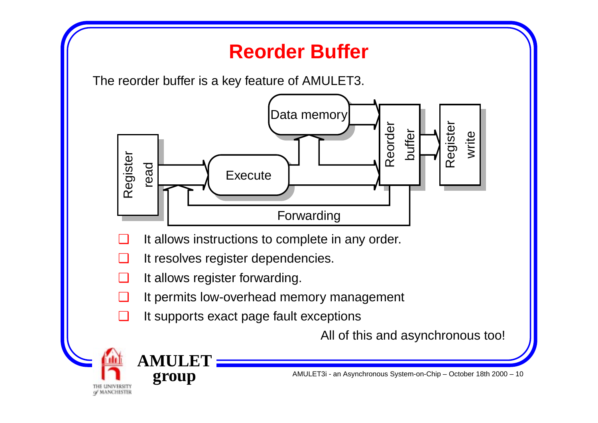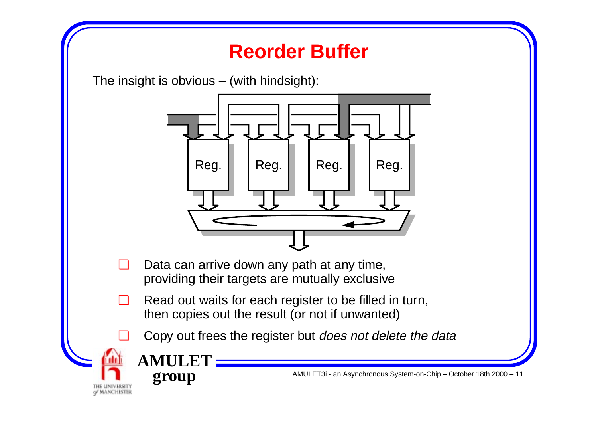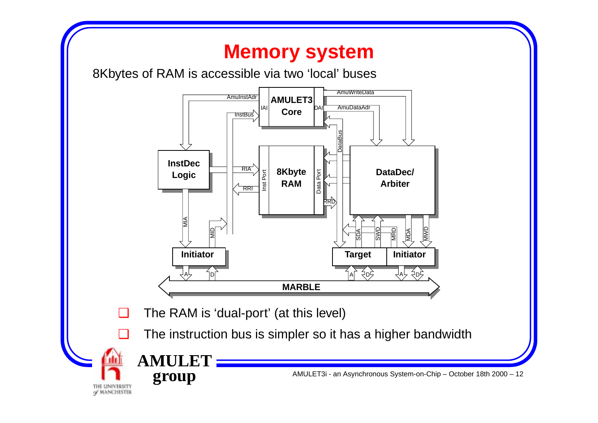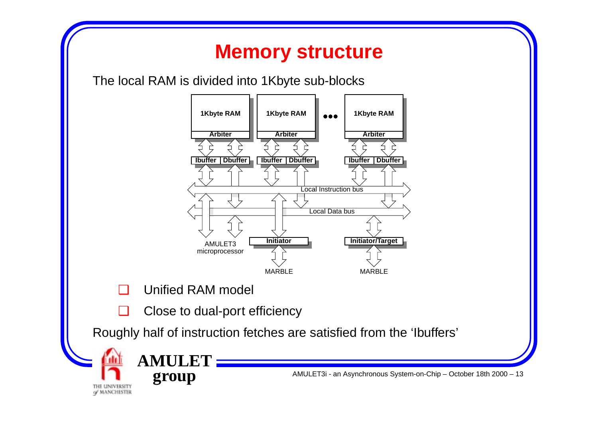#### **Memory structure**

The local RAM is divided into 1Kbyte sub-blocks



❑Unified RAM model

**AMULET**

**group**

THE UNIVERSITY of MANCHESTER

❑Close to dual-port efficiency

Roughly half of instruction fetches are satisfied from the 'Ibuffers'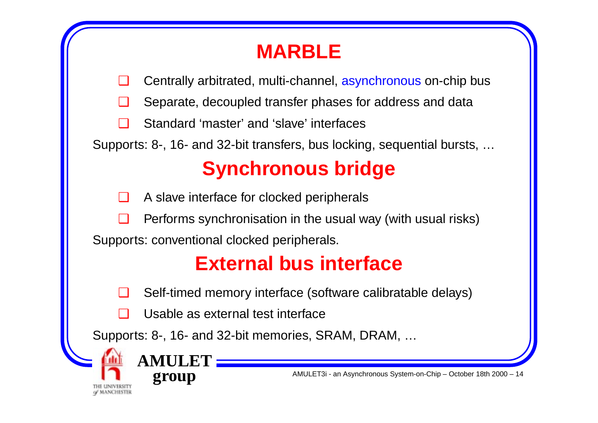## **MARBLE**

❑Centrally arbitrated, multi-channel, asynchronous on-chip bus

❑Separate, decoupled transfer phases for address and data

❑Standard 'master' and 'slave' interfaces

Supports: 8-, 16- and 32-bit transfers, bus locking, sequential bursts, …

# **Synchronous bridge**

❑A slave interface for clocked peripherals

❑Performs synchronisation in the usual way (with usual risks)

Supports: conventional clocked peripherals.

## **External bus interface**

❑Self-timed memory interface (software calibratable delays)

❑Usable as external test interface

Supports: 8-, 16- and 32-bit memories, SRAM, DRAM, …

**AM** 

**group**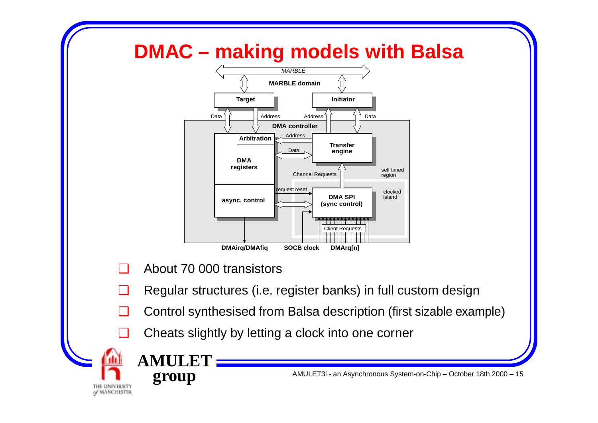### **DMAC – making models with Balsa**



❑About 70 000 transistors

**AMULET**

**group**

- ❑Regular structures (i.e. register banks) in full custom design
- ❑Control synthesised from Balsa description (first sizable example)
- ❑Cheats slightly by letting a clock into one corner

THE UNIVERSITY of MANCHESTER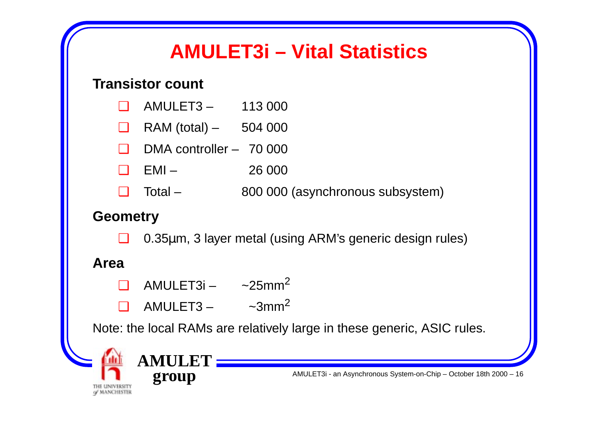### **AMULET3i – Vital Statistics**

#### **Transistor count**

| $\Box$ |  | $AMULET3 -$ | 113 000 |  |
|--------|--|-------------|---------|--|
|--------|--|-------------|---------|--|

- ❑ $RAM (total) - 504 000$
- ❑DMA controller – 70 000
- ❑EMI – 26 000
- ❑Total – 800 000 (asynchronous subsystem)

#### **Geometry**

❑0.35 µm, 3 layer metal (using ARM's generic design rules)

#### **Area**

- ❑ AMULET3i – ~25mm 2
- $\Box$  AMULET3 – ~3mm 2

Note: the local RAMs are relatively large in these generic, ASIC rules.

**AMULETgroup**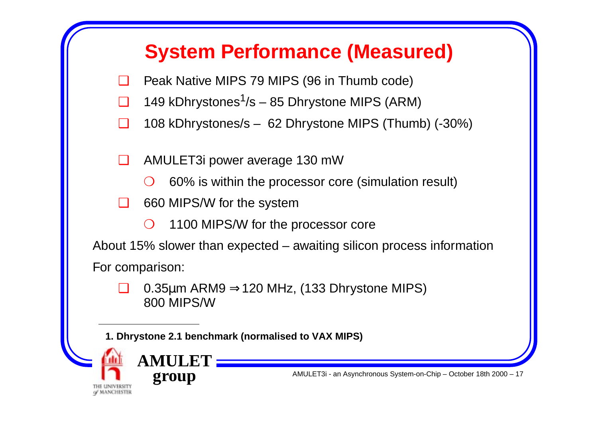### **System Performance (Measured)**

- ❑Peak Native MIPS 79 MIPS (96 in Thumb code)
- ❑149 kDhrystones<sup>1</sup>/s – 85 Dhrystone MIPS (ARM)
- ❑108 kDhrystones/s – 62 Dhrystone MIPS (Thumb) (-30%)

❑AMULET3i power average 130 mW

- $\bigodot$ 60% is within the processor core (simulation result)
- $\Box$  660 MIPS/W for the system
	- $\bigcap$ 1100 MIPS/W for the processor core

About 15% slower than expected – awaiting silicon process information For comparison:

❑ 0.35 µm ARM9 <sup>⇒</sup>120 MHz, (133 Dhrystone MIPS) 800 MIPS/W

**1. Dhrystone 2.1 benchmark (normalised to VAX MIPS)**

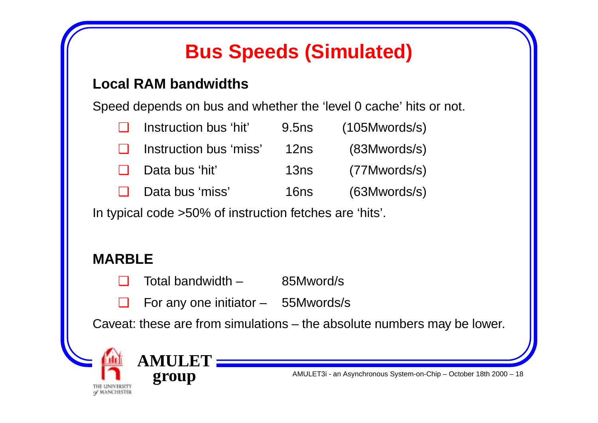## **Bus Speeds (Simulated)**

#### **Local RAM bandwidths**

Speed depends on bus and whether the 'level 0 cache' hits or not.

| $\Box$ | Instruction bus 'hit'  | 9.5 <sub>ns</sub> | (105Mwords/s) |
|--------|------------------------|-------------------|---------------|
| $\Box$ | Instruction bus 'miss' | 12ns              | (83Mwords/s)  |
| $\Box$ | Data bus 'hit'         | 13ns              | (77Mwords/s)  |
| $\Box$ | Data bus 'miss'        | 16ns              | (63Mwords/s)  |

In typical code >50% of instruction fetches are 'hits'.

#### **MARBLE**

- ❑Total bandwidth – 85Mword/s
- ❑For any one initiator – 55Mwords/s

Caveat: these are from simulations – the absolute numbers may be lower.

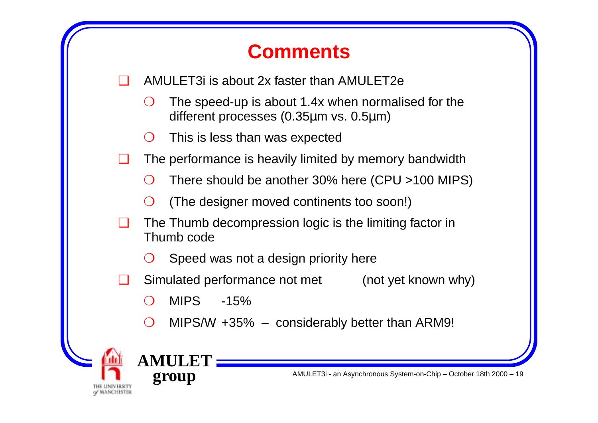### **Comments**

- ❑ AMULET3i is about 2x faster than AMULET2e
	- $\bigodot$  The speed-up is about 1.4x when normalised for the different processes (0.35 µm vs. 0.5 µm)
	- $\bigcap$ This is less than was expected
- ❑ The performance is heavily limited by memory bandwidth
	- $\bigcirc$ There should be another 30% here (CPU >100 MIPS)
	- $\bigcap$ (The designer moved continents too soon!)
- $\Box$  The Thumb decompression logic is the limiting factor in Thumb code
	- $\bigcirc$ Speed was not a design priority here
- ❑ Simulated performance not met (not yet known why)
	- $\left( \right)$  $MIPS$   $-15\%$
	- $\bigcirc$ MIPS/W +35% – considerably better than ARM9!



**AM** 

**group**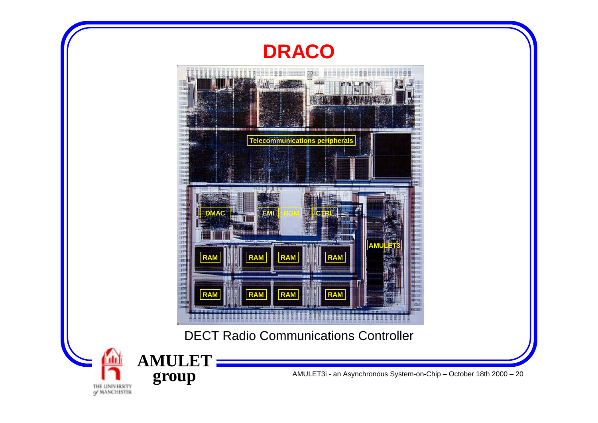